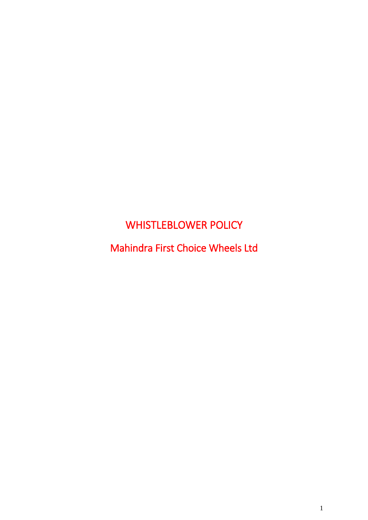# WHISTLEBLOWER POLICY

Mahindra First Choice Wheels Ltd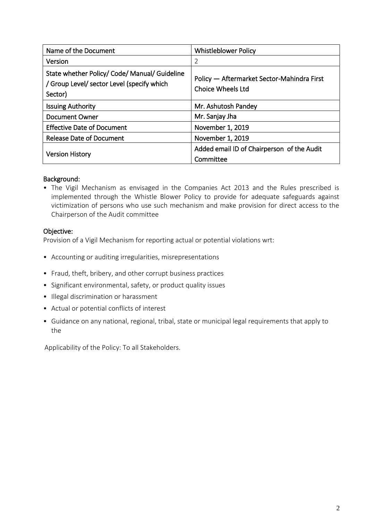| Name of the Document                                                                                   | <b>Whistleblower Policy</b>                                     |
|--------------------------------------------------------------------------------------------------------|-----------------------------------------------------------------|
| Version                                                                                                | $\overline{2}$                                                  |
| State whether Policy/ Code/ Manual/ Guideline<br>/ Group Level/ sector Level (specify which<br>Sector) | Policy — Aftermarket Sector-Mahindra First<br>Choice Wheels Ltd |
| <b>Issuing Authority</b>                                                                               | Mr. Ashutosh Pandey                                             |
| <b>Document Owner</b>                                                                                  | Mr. Sanjay Jha                                                  |
| <b>Effective Date of Document</b>                                                                      | November 1, 2019                                                |
| <b>Release Date of Document</b>                                                                        | November 1, 2019                                                |
| <b>Version History</b>                                                                                 | Added email ID of Chairperson of the Audit<br>Committee         |

#### Background:

• The Vigil Mechanism as envisaged in the Companies Act 2013 and the Rules prescribed is implemented through the Whistle Blower Policy to provide for adequate safeguards against victimization of persons who use such mechanism and make provision for direct access to the Chairperson of the Audit committee

#### Objective:

Provision of a Vigil Mechanism for reporting actual or potential violations wrt:

- Accounting or auditing irregularities, misrepresentations
- Fraud, theft, bribery, and other corrupt business practices
- Significant environmental, safety, or product quality issues
- Illegal discrimination or harassment
- Actual or potential conflicts of interest
- Guidance on any national, regional, tribal, state or municipal legal requirements that apply to the

Applicability of the Policy: To all Stakeholders.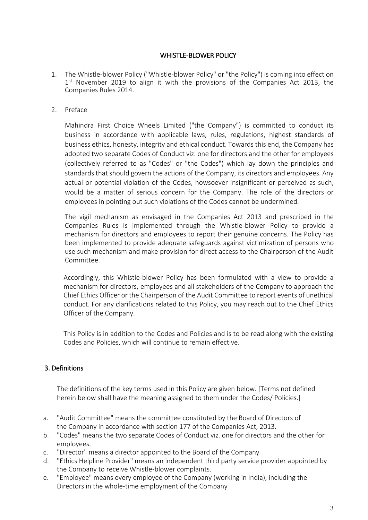# WHISTLE-BLOWER POLICY

- 1. The Whistle-blower Policy ("Whistle-blower Policy" or "the Policy") is coming into effect on 1<sup>st</sup> November 2019 to align it with the provisions of the Companies Act 2013, the Companies Rules 2014.
- 2. Preface

Mahindra First Choice Wheels Limited ("the Company") is committed to conduct its business in accordance with applicable laws, rules, regulations, highest standards of business ethics, honesty, integrity and ethical conduct. Towards this end, the Company has adopted two separate Codes of Conduct viz. one for directors and the other for employees (collectively referred to as "Codes" or "the Codes") which lay down the principles and standards that should govern the actions of the Company, its directors and employees. Any actual or potential violation of the Codes, howsoever insignificant or perceived as such, would be a matter of serious concern for the Company. The role of the directors or employees in pointing out such violations of the Codes cannot be undermined.

The vigil mechanism as envisaged in the Companies Act 2013 and prescribed in the Companies Rules is implemented through the Whistle-blower Policy to provide a mechanism for directors and employees to report their genuine concerns. The Policy has been implemented to provide adequate safeguards against victimization of persons who use such mechanism and make provision for direct access to the Chairperson of the Audit Committee.

Accordingly, this Whistle-blower Policy has been formulated with a view to provide a mechanism for directors, employees and all stakeholders of the Company to approach the Chief Ethics Officer or the Chairperson of the Audit Committee to report events of unethical conduct. For any clarifications related to this Policy, you may reach out to the Chief Ethics Officer of the Company.

This Policy is in addition to the Codes and Policies and is to be read along with the existing Codes and Policies, which will continue to remain effective.

# 3. Definitions

The definitions of the key terms used in this Policy are given below. [Terms not defined herein below shall have the meaning assigned to them under the Codes/ Policies.]

- a. "Audit Committee" means the committee constituted by the Board of Directors of the Company in accordance with section 177 of the Companies Act, 2013.
- b. "Codes" means the two separate Codes of Conduct viz. one for directors and the other for employees.
- c. "Director" means a director appointed to the Board of the Company
- d. "Ethics Helpline Provider" means an independent third party service provider appointed by the Company to receive Whistle-blower complaints.
- e. "Employee" means every employee of the Company (working in India), including the Directors in the whole-time employment of the Company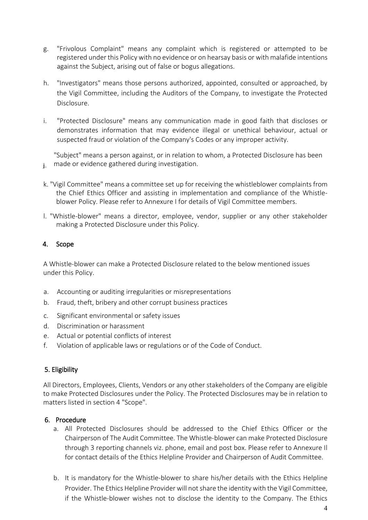- g. "Frivolous Complaint" means any complaint which is registered or attempted to be registered under this Policy with no evidence or on hearsay basis or with malafide intentions against the Subject, arising out of false or bogus allegations.
- h. "Investigators" means those persons authorized, appointed, consulted or approached, by the Vigil Committee, including the Auditors of the Company, to investigate the Protected Disclosure.
- i. "Protected Disclosure" means any communication made in good faith that discloses or demonstrates information that may evidence illegal or unethical behaviour, actual or suspected fraud or violation of the Company's Codes or any improper activity.

"Subject" means a person against, or in relation to whom, a Protected Disclosure has been i. made or evidence gathered during investigation.

- k. "Vigil Committee" means a committee set up for receiving the whistleblower complaints from the Chief Ethics Officer and assisting in implementation and compliance of the Whistleblower Policy. Please refer to Annexure I for details of Vigil Committee members.
- l. "Whistle-blower" means a director, employee, vendor, supplier or any other stakeholder making a Protected Disclosure under this Policy.

# 4. Scope

A Whistle-blower can make a Protected Disclosure related to the below mentioned issues under this Policy.

- a. Accounting or auditing irregularities or misrepresentations
- b. Fraud, theft, bribery and other corrupt business practices
- c. Significant environmental or safety issues
- d. Discrimination or harassment
- e. Actual or potential conflicts of interest
- f. Violation of applicable laws or regulations or of the Code of Conduct.

# 5. Eligibility

All Directors, Employees, Clients, Vendors or any other stakeholders of the Company are eligible to make Protected Disclosures under the Policy. The Protected Disclosures may be in relation to matters listed in section 4 "Scope".

# 6. Procedure

- a. All Protected Disclosures should be addressed to the Chief Ethics Officer or the Chairperson of The Audit Committee. The Whistle-blower can make Protected Disclosure through 3 reporting channels viz. phone, email and post box. Please refer to Annexure Il for contact details of the Ethics Helpline Provider and Chairperson of Audit Committee.
- b. It is mandatory for the Whistle-blower to share his/her details with the Ethics Helpline Provider. The Ethics Helpline Provider will not share the identity with the Vigil Committee, if the Whistle-blower wishes not to disclose the identity to the Company. The Ethics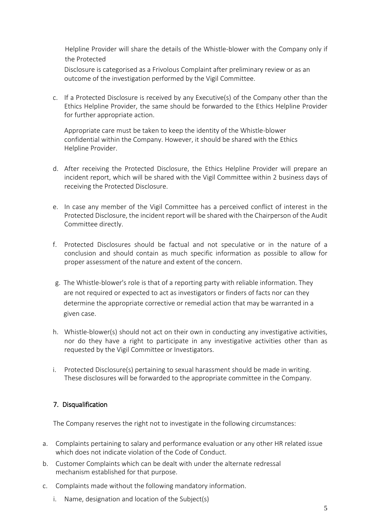Helpline Provider will share the details of the Whistle-blower with the Company only if the Protected

Disclosure is categorised as a Frivolous Complaint after preliminary review or as an outcome of the investigation performed by the Vigil Committee.

c. If a Protected Disclosure is received by any Executive(s) of the Company other than the Ethics Helpline Provider, the same should be forwarded to the Ethics Helpline Provider for further appropriate action.

Appropriate care must be taken to keep the identity of the Whistle-blower confidential within the Company. However, it should be shared with the Ethics Helpline Provider.

- d. After receiving the Protected Disclosure, the Ethics Helpline Provider will prepare an incident report, which will be shared with the Vigil Committee within 2 business days of receiving the Protected Disclosure.
- e. In case any member of the Vigil Committee has a perceived conflict of interest in the Protected Disclosure, the incident report will be shared with the Chairperson of the Audit Committee directly.
- f. Protected Disclosures should be factual and not speculative or in the nature of a conclusion and should contain as much specific information as possible to allow for proper assessment of the nature and extent of the concern.
- g. The Whistle-blower's role is that of a reporting party with reliable information. They are not required or expected to act as investigators or finders of facts nor can they determine the appropriate corrective or remedial action that may be warranted in a given case.
- h. Whistle-blower(s) should not act on their own in conducting any investigative activities, nor do they have a right to participate in any investigative activities other than as requested by the Vigil Committee or Investigators.
- i. Protected Disclosure(s) pertaining to sexual harassment should be made in writing. These disclosures will be forwarded to the appropriate committee in the Company.

# 7. Disqualification

The Company reserves the right not to investigate in the following circumstances:

- a. Complaints pertaining to salary and performance evaluation or any other HR related issue which does not indicate violation of the Code of Conduct.
- b. Customer Complaints which can be dealt with under the alternate redressal mechanism established for that purpose.
- c. Complaints made without the following mandatory information.
	- i. Name, designation and location of the Subject(s)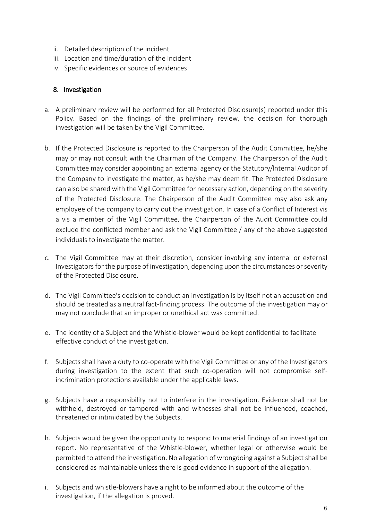- ii. Detailed description of the incident
- iii. Location and time/duration of the incident
- iv. Specific evidences or source of evidences

#### 8. Investigation

- a. A preliminary review will be performed for all Protected Disclosure(s) reported under this Policy. Based on the findings of the preliminary review, the decision for thorough investigation will be taken by the Vigil Committee.
- b. If the Protected Disclosure is reported to the Chairperson of the Audit Committee, he/she may or may not consult with the Chairman of the Company. The Chairperson of the Audit Committee may consider appointing an external agency or the Statutory/lnternal Auditor of the Company to investigate the matter, as he/she may deem fit. The Protected Disclosure can also be shared with the Vigil Committee for necessary action, depending on the severity of the Protected Disclosure. The Chairperson of the Audit Committee may also ask any employee of the company to carry out the investigation. In case of a Conflict of Interest vis a vis a member of the Vigil Committee, the Chairperson of the Audit Committee could exclude the conflicted member and ask the Vigil Committee / any of the above suggested individuals to investigate the matter.
- c. The Vigil Committee may at their discretion, consider involving any internal or external Investigators for the purpose of investigation, depending upon the circumstances or severity of the Protected Disclosure.
- d. The Vigil Committee's decision to conduct an investigation is by itself not an accusation and should be treated as a neutral fact-finding process. The outcome of the investigation may or may not conclude that an improper or unethical act was committed.
- e. The identity of a Subject and the Whistle-blower would be kept confidential to facilitate effective conduct of the investigation.
- f. Subjects shall have a duty to co-operate with the Vigil Committee or any of the Investigators during investigation to the extent that such co-operation will not compromise selfincrimination protections available under the applicable laws.
- g. Subjects have a responsibility not to interfere in the investigation. Evidence shall not be withheld, destroyed or tampered with and witnesses shall not be influenced, coached, threatened or intimidated by the Subjects.
- h. Subjects would be given the opportunity to respond to material findings of an investigation report. No representative of the Whistle-blower, whether legal or otherwise would be permitted to attend the investigation. No allegation of wrongdoing against a Subject shall be considered as maintainable unless there is good evidence in support of the allegation.
- i. Subjects and whistle-blowers have a right to be informed about the outcome of the investigation, if the allegation is proved.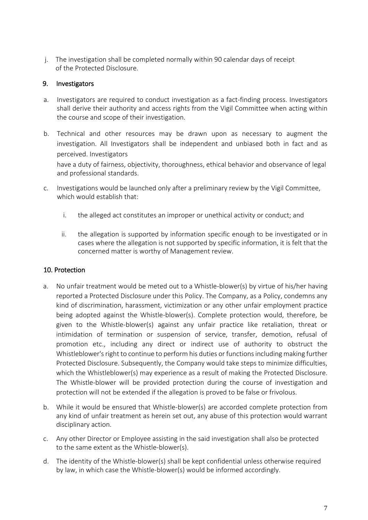j. The investigation shall be completed normally within 90 calendar days of receipt of the Protected Disclosure.

# 9. Investigators

- a. Investigators are required to conduct investigation as a fact-finding process. Investigators shall derive their authority and access rights from the Vigil Committee when acting within the course and scope of their investigation.
- b. Technical and other resources may be drawn upon as necessary to augment the investigation. All Investigators shall be independent and unbiased both in fact and as perceived. Investigators have a duty of fairness, objectivity, thoroughness, ethical behavior and observance of legal and professional standards.
- c. Investigations would be launched only after a preliminary review by the Vigil Committee, which would establish that:
	- i. the alleged act constitutes an improper or unethical activity or conduct; and
	- ii. the allegation is supported by information specific enough to be investigated or in cases where the allegation is not supported by specific information, it is felt that the concerned matter is worthy of Management review.

# 10. Protection

- a. No unfair treatment would be meted out to a Whistle-blower(s) by virtue of his/her having reported a Protected Disclosure under this Policy. The Company, as a Policy, condemns any kind of discrimination, harassment, victimization or any other unfair employment practice being adopted against the Whistle-blower(s). Complete protection would, therefore, be given to the Whistle-blower(s) against any unfair practice like retaliation, threat or intimidation of termination or suspension of service, transfer, demotion, refusal of promotion etc., including any direct or indirect use of authority to obstruct the Whistleblower's right to continue to perform his duties or functions including making further Protected Disclosure. Subsequently, the Company would take steps to minimize difficulties, which the Whistleblower(s) may experience as a result of making the Protected Disclosure. The Whistle-blower will be provided protection during the course of investigation and protection will not be extended if the allegation is proved to be false or frivolous.
- b. While it would be ensured that Whistle-blower(s) are accorded complete protection from any kind of unfair treatment as herein set out, any abuse of this protection would warrant disciplinary action.
- c. Any other Director or Employee assisting in the said investigation shall also be protected to the same extent as the Whistle-blower(s).
- d. The identity of the Whistle-blower(s) shall be kept confidential unless otherwise required by law, in which case the Whistle-blower(s) would be informed accordingly.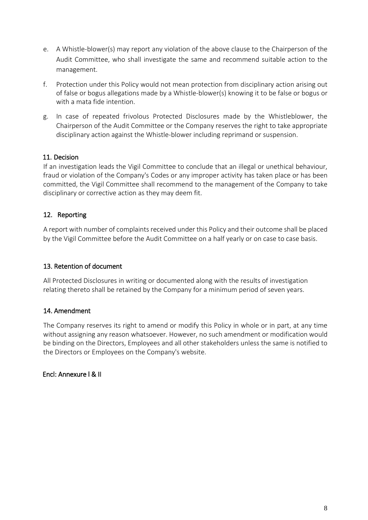- e. A Whistle-blower(s) may report any violation of the above clause to the Chairperson of the Audit Committee, who shall investigate the same and recommend suitable action to the management.
- f. Protection under this Policy would not mean protection from disciplinary action arising out of false or bogus allegations made by a Whistle-blower(s) knowing it to be false or bogus or with a mata fide intention.
- g. In case of repeated frivolous Protected Disclosures made by the Whistleblower, the Chairperson of the Audit Committee or the Company reserves the right to take appropriate disciplinary action against the Whistle-blower including reprimand or suspension.

# 11. Decision

If an investigation leads the Vigil Committee to conclude that an illegal or unethical behaviour, fraud or violation of the Company's Codes or any improper activity has taken place or has been committed, the Vigil Committee shall recommend to the management of the Company to take disciplinary or corrective action as they may deem fit.

# 12. Reporting

A report with number of complaints received under this Policy and their outcome shall be placed by the Vigil Committee before the Audit Committee on a half yearly or on case to case basis.

# 13. Retention of document

All Protected Disclosures in writing or documented along with the results of investigation relating thereto shall be retained by the Company for a minimum period of seven years.

# 14. Amendment

The Company reserves its right to amend or modify this Policy in whole or in part, at any time without assigning any reason whatsoever. However, no such amendment or modification would be binding on the Directors, Employees and all other stakeholders unless the same is notified to the Directors or Employees on the Company's website.

# Encl: Annexure l & II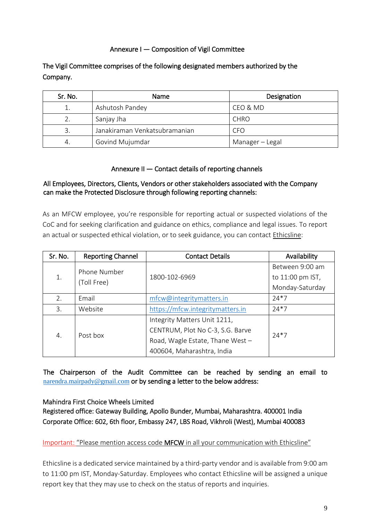# Annexure I — Composition of Vigil Committee

The Vigil Committee comprises of the following designated members authorized by the Company.

| Sr. No. | <b>Name</b>                   | Designation     |
|---------|-------------------------------|-----------------|
|         | Ashutosh Pandey               | CEO & MD        |
| 2.      | Sanjay Jha                    | <b>CHRO</b>     |
|         | Janakiraman Venkatsubramanian | CFO             |
| 4.      | Govind Mujumdar               | Manager - Legal |

# Annexure II — Contact details of reporting channels

# All Employees, Directors, Clients, Vendors or other stakeholders associated with the Company can make the Protected Disclosure through following reporting channels:

As an MFCW employee, you're responsible for reporting actual or suspected violations of the CoC and for seeking clarification and guidance on ethics, compliance and legal issues. To report an actual or suspected ethical violation, or to seek guidance, you can contact Ethicsline:

| Sr. No.                           | <b>Reporting Channel</b> | <b>Contact Details</b>           | Availability     |
|-----------------------------------|--------------------------|----------------------------------|------------------|
| Phone Number<br>1.<br>(Toll Free) |                          | Between 9:00 am                  |                  |
|                                   |                          | 1800-102-6969                    | to 11:00 pm IST, |
|                                   |                          | Monday-Saturday                  |                  |
| 2.                                | Email                    | mfcw@integritymatters.in         | $24*7$           |
| 3.                                | Website                  | https://mfcw.integritymatters.in | $24*7$           |
| Post box<br>4.                    |                          | Integrity Matters Unit 1211,     |                  |
|                                   |                          | CENTRUM, Plot No C-3, S.G. Barve | $74*7$           |
|                                   |                          | Road, Wagle Estate, Thane West - |                  |
|                                   |                          | 400604, Maharashtra, India       |                  |

The Chairperson of the Audit Committee can be reached by sending an email to [narendra.mairpady@gmail.com](mailto:narendra.mairpady@gmail.com) or by sending a letter to the below address:

# Mahindra First Choice Wheels Limited

Registered office: Gateway Building, Apollo Bunder, Mumbai, Maharashtra. 400001 India Corporate Office: 602, 6th floor, Embassy 247, LBS Road, Vikhroli (West), Mumbai 400083

Important: "Please mention access code MFCW in all your communication with Ethicsline"

Ethicsline is a dedicated service maintained by a third-party vendor and is available from 9:00 am to 11:00 pm IST, Monday-Saturday. Employees who contact Ethicsline will be assigned a unique report key that they may use to check on the status of reports and inquiries.